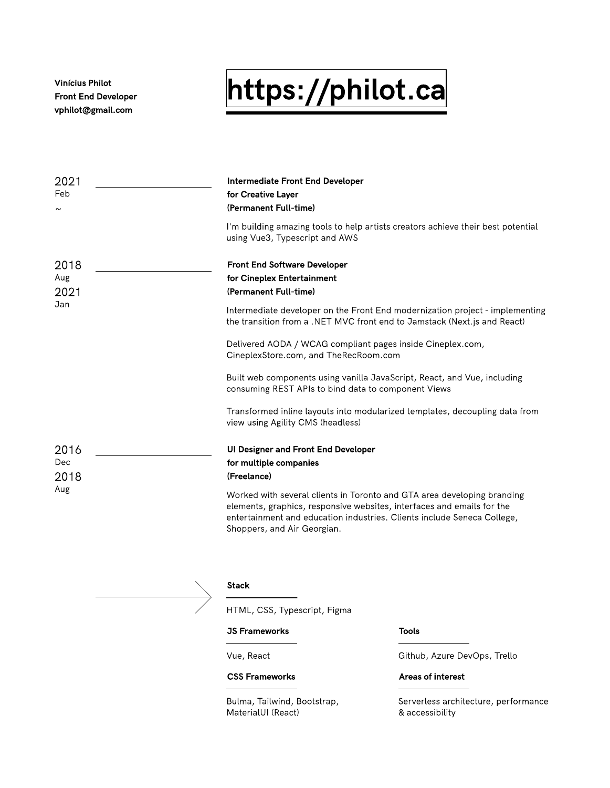Vinícius Philot Front End Developer vphilot@gmail.com

## <https://philot.ca>

| 2021<br>Feb<br>$\sim$      |  | <b>Intermediate Front End Developer</b><br>for Creative Layer<br>(Permanent Full-time)                                                                                                                                                                                                                                                             |                              |
|----------------------------|--|----------------------------------------------------------------------------------------------------------------------------------------------------------------------------------------------------------------------------------------------------------------------------------------------------------------------------------------------------|------------------------------|
|                            |  | I'm building amazing tools to help artists creators achieve their best potential<br>using Vue3, Typescript and AWS                                                                                                                                                                                                                                 |                              |
| 2018<br>Aug<br>2021<br>Jan |  | <b>Front End Software Developer</b><br>for Cineplex Entertainment<br>(Permanent Full-time)<br>Intermediate developer on the Front End modernization project - implementing<br>the transition from a .NET MVC front end to Jamstack (Next. js and React)                                                                                            |                              |
|                            |  | Delivered AODA / WCAG compliant pages inside Cineplex.com,<br>CineplexStore.com, and TheRecRoom.com<br>Built web components using vanilla JavaScript, React, and Vue, including                                                                                                                                                                    |                              |
|                            |  | consuming REST APIs to bind data to component Views<br>Transformed inline layouts into modularized templates, decoupling data from<br>view using Agility CMS (headless)                                                                                                                                                                            |                              |
| 2016<br>Dec<br>2018<br>Aug |  | <b>UI Designer and Front End Developer</b><br>for multiple companies<br>(Freelance)<br>Worked with several clients in Toronto and GTA area developing branding<br>elements, graphics, responsive websites, interfaces and emails for the<br>entertainment and education industries. Clients include Seneca College,<br>Shoppers, and Air Georgian. |                              |
|                            |  | <b>Stack</b><br>HTML, CSS, Typescript, Figma<br><b>JS Frameworks</b>                                                                                                                                                                                                                                                                               | <b>Tools</b>                 |
|                            |  | Vue, React                                                                                                                                                                                                                                                                                                                                         | Github, Azure DevOps, Trello |

Bulma, Tailwind, Bootstrap, MaterialUI (React)

CSS Frameworks

Serverless architecture, performance & accessibility

Areas of interest